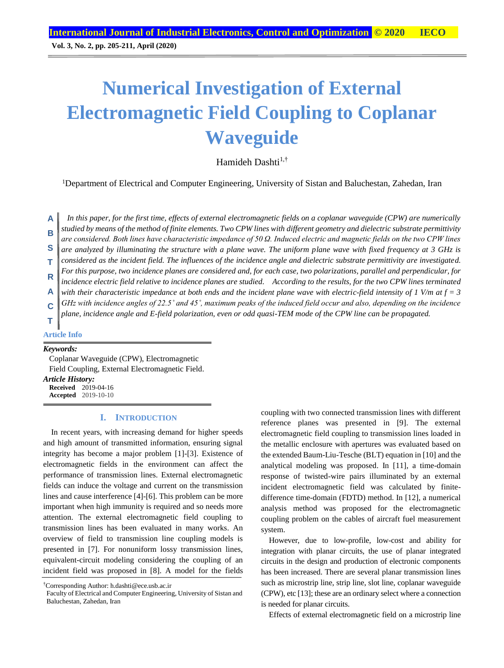**Vol. 3, No. 2, pp. 205-211, April (2020)**

# **Numerical Investigation of External Electromagnetic Field Coupling to Coplanar Waveguide**

Hamideh Dashti $1,1$ 

<sup>1</sup>Department of Electrical and Computer Engineering, University of Sistan and Baluchestan, Zahedan, Iran

*In this paper, for the first time, effects of external electromagnetic fields on a coplanar waveguide (CPW) are numerically studied by means of the method of finite elements. Two CPW lines with different geometry and dielectric substrate permittivity are considered. Both lines have characteristic impedance of 50 Ω. Induced electric and magnetic fields on the two CPW lines are analyzed by illuminating the structure with a plane wave. The uniform plane wave with fixed frequency at 3 GHz is considered as the incident field. The influences of the incidence angle and dielectric substrate permittivity are investigated. For this purpose, two incidence planes are considered and, for each case, two polarizations, parallel and perpendicular, for incidence electric field relative to incidence planes are studied. According to the results, for the two CPW lines terminated with their characteristic impedance at both ends and the incident plane wave with electric-field intensity of 1 V/m at f = 3 GHz with incidence angles of 22.5˚ and 45˚, maximum peaks of the induced field occur and also, depending on the incidence plane, incidence angle and E-field polarization, even or odd quasi-TEM mode of the CPW line can be propagated.* **A B S T R A C T**

## **Article Info**

#### *Keywords:*

Coplanar Waveguide (CPW), Electromagnetic Field Coupling, External Electromagnetic Field. *Article History:* **Received** 2019-04-16 **Accepted** 2019-10-10

#### **I. INTRODUCTION**

In recent years, with increasing demand for higher speeds and high amount of transmitted information, ensuring signal integrity has become a major problem [1]-[3]. Existence of electromagnetic fields in the environment can affect the performance of transmission lines. External electromagnetic fields can induce the voltage and current on the transmission lines and cause interference [4]-[6]. This problem can be more important when high immunity is required and so needs more attention. The external electromagnetic field coupling to transmission lines has been evaluated in many works. An overview of field to transmission line coupling models is presented in [7]. For nonuniform lossy transmission lines, equivalent-circuit modeling considering the coupling of an incident field was proposed in [8]. A model for the fields coupling with two connected transmission lines with different reference planes was presented in [9]. The external electromagnetic field coupling to transmission lines loaded in the metallic enclosure with apertures was evaluated based on the extended Baum-Liu-Tesche (BLT) equation in [10] and the analytical modeling was proposed. In [11], a time-domain response of twisted-wire pairs illuminated by an external incident electromagnetic field was calculated by finitedifference time-domain (FDTD) method. In [12], a numerical analysis method was proposed for the electromagnetic coupling problem on the cables of aircraft fuel measurement system.

However, due to low-profile, low-cost and ability for integration with planar circuits, the use of planar integrated circuits in the design and production of electronic components has been increased. There are several planar transmission lines such as microstrip line, strip line, slot line, coplanar waveguide (CPW), etc [13]; these are an ordinary select where a connection is needed for planar circuits.

Effects of external electromagnetic field on a microstrip line

<sup>†</sup>Corresponding Author: h.dashti@ece.usb.ac.ir

Faculty of Electrical and Computer Engineering, University of Sistan and Baluchestan, Zahedan, Iran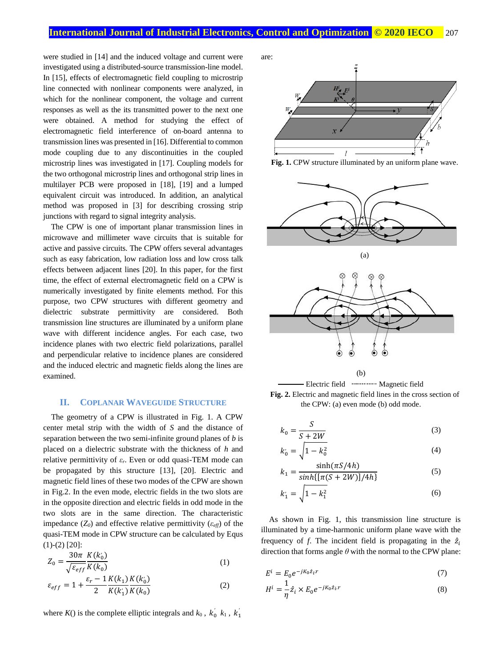were studied in [14] and the induced voltage and current were investigated using a distributed-source transmission-line model. In [15], effects of electromagnetic field coupling to microstrip line connected with nonlinear components were analyzed, in which for the nonlinear component, the voltage and current responses as well as the its transmitted power to the next one were obtained. A method for studying the effect of electromagnetic field interference of on-board antenna to transmission lines was presented in [16]. Differential to common mode coupling due to any discontinuities in the coupled microstrip lines was investigated in [17]. Coupling models for the two orthogonal microstrip lines and orthogonal strip lines in multilayer PCB were proposed in [18], [19] and a lumped equivalent circuit was introduced. In addition, an analytical method was proposed in [3] for describing crossing strip junctions with regard to signal integrity analysis.

The CPW is one of important planar transmission lines in microwave and millimeter wave circuits that is suitable for active and passive circuits. The CPW offers several advantages such as easy fabrication, low radiation loss and low cross talk effects between adjacent lines [20]. In this paper, for the first time, the effect of external electromagnetic field on a CPW is numerically investigated by finite elements method. For this purpose, two CPW structures with different geometry and dielectric substrate permittivity are considered. Both transmission line structures are illuminated by a uniform plane wave with different incidence angles. For each case, two incidence planes with two electric field polarizations, parallel and perpendicular relative to incidence planes are considered and the induced electric and magnetic fields along the lines are examined.

### **II. COPLANAR WAVEGUIDE STRUCTURE**

The geometry of a CPW is illustrated in Fig. 1. A CPW center metal strip with the width of *S* and the distance of separation between the two semi-infinite ground planes of *b* is placed on a dielectric substrate with the thickness of *h* and relative permittivity of *εr*. Even or odd quasi-TEM mode can be propagated by this structure [13], [20]. Electric and magnetic field lines of these two modes of the CPW are shown in Fig.2. In the even mode, electric fields in the two slots are in the opposite direction and electric fields in odd mode in the two slots are in the same direction. The characteristic impedance  $(Z_0)$  and effective relative permittivity  $(\varepsilon_{\text{eff}})$  of the quasi-TEM mode in CPW structure can be calculated by Equs  $(1)-(2)$  [20]:

$$
Z_0 = \frac{30\pi}{\sqrt{\varepsilon_{eff}}} \frac{K(k'_0)}{K(k_0)}\tag{1}
$$

$$
\varepsilon_{eff} = 1 + \frac{\varepsilon_r - 1}{2} \frac{K(k_1)}{K(k_1)} \frac{K(k_0)}{K(k_0)}
$$
 (2)

where  $K()$  is the complete elliptic integrals and  $k_0$ ,  $k_0^{'}$ ,  $k_1$ ,  $k_1^{'}$ 

are:









$$
k_0 = \frac{S}{S + 2W} \tag{3}
$$

$$
k'_0 = \sqrt{1 - k_0^2} \tag{4}
$$

$$
k_1 = \frac{\sinh(\pi S/4h)}{\sinh\{\pi(S+2W)\}/4h\}}\tag{5}
$$

$$
k_1' = \sqrt{1 - k_1^2} \tag{6}
$$

As shown in Fig. 1, this transmission line structure is illuminated by a time-harmonic uniform plane wave with the frequency of *f*. The incident field is propagating in the  $\hat{z}_i$ direction that forms angle *θ* with the normal to the CPW plane:

$$
E^i = E_0 e^{-jK_0 \hat{z}_i \cdot r} \tag{7}
$$

$$
H^{i} = \frac{1}{\eta} \hat{z}_i \times E_0 e^{-jK_0 \hat{z}_i \cdot r}
$$
 (8)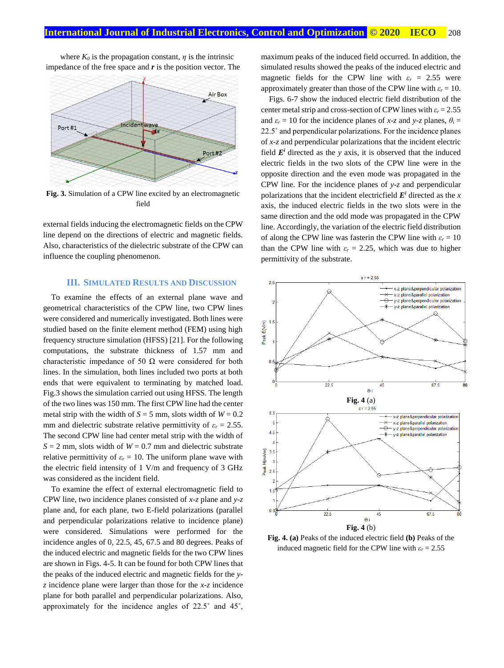where  $K_0$  is the propagation constant,  $\eta$  is the intrinsic impedance of the free space and *r* is the position vector. The



**Fig. 3.** Simulation of a CPW line excited by an electromagnetic field

external fields inducing the electromagnetic fields on the CPW line depend on the directions of electric and magnetic fields. Also, characteristics of the dielectric substrate of the CPW can influence the coupling phenomenon.

## **III. SIMULATED RESULTS AND DISCUSSION**

To examine the effects of an external plane wave and geometrical characteristics of the CPW line, two CPW lines were considered and numerically investigated. Both lines were studied based on the finite element method (FEM) using high frequency structure simulation (HFSS) [21]. For the following computations, the substrate thickness of 1.57 mm and characteristic impedance of 50  $\Omega$  were considered for both lines. In the simulation, both lines included two ports at both ends that were equivalent to terminating by matched load. Fig.3 shows the simulation carried out using HFSS. The length of the two lines was 150 mm. The first CPW line had the center metal strip with the width of  $S = 5$  mm, slots width of  $W = 0.2$ mm and dielectric substrate relative permittivity of  $\varepsilon_r = 2.55$ . The second CPW line had center metal strip with the width of  $S = 2$  mm, slots width of  $W = 0.7$  mm and dielectric substrate relative permittivity of  $\varepsilon_r = 10$ . The uniform plane wave with the electric field intensity of 1 V/m and frequency of 3 GHz was considered as the incident field.

To examine the effect of external electromagnetic field to CPW line, two incidence planes consisted of *x-z* plane and *y-z* plane and, for each plane, two E-field polarizations (parallel and perpendicular polarizations relative to incidence plane) were considered. Simulations were performed for the incidence angles of 0, 22.5, 45, 67.5 and 80 degrees. Peaks of the induced electric and magnetic fields for the two CPW lines are shown in Figs. 4-5. It can be found for both CPW lines that the peaks of the induced electric and magnetic fields for the *yz* incidence plane were larger than those for the *x-z* incidence plane for both parallel and perpendicular polarizations. Also, approximately for the incidence angles of 22.5˚ and 45˚,

maximum peaks of the induced field occurred. In addition, the simulated results showed the peaks of the induced electric and magnetic fields for the CPW line with  $\varepsilon_r = 2.55$  were approximately greater than those of the CPW line with  $\varepsilon_r = 10$ .

Figs. 6-7 show the induced electric field distribution of the center metal strip and cross-section of CPW lines with  $\varepsilon_r = 2.55$ and  $\varepsilon_r = 10$  for the incidence planes of *x*-*z* and *y*-*z* planes,  $\theta_i =$ 22.5˚ and perpendicular polarizations. For the incidence planes of *x-z* and perpendicular polarizations that the incident electric field  $E^i$  directed as the *y* axis, it is observed that the induced electric fields in the two slots of the CPW line were in the opposite direction and the even mode was propagated in the CPW line. For the incidence planes of *y-z* and perpendicular polarizations that the incident electricfield  $E^i$  directed as the *x* axis, the induced electric fields in the two slots were in the same direction and the odd mode was propagated in the CPW line. Accordingly, the variation of the electric field distribution of along the CPW line was fasterin the CPW line with  $\varepsilon_r = 10$ than the CPW line with  $\varepsilon_r = 2.25$ , which was due to higher permittivity of the substrate.



**Fig. 4. (a)** Peaks of the induced electric field **(b)** Peaks of the induced magnetic field for the CPW line with  $\varepsilon_r = 2.55$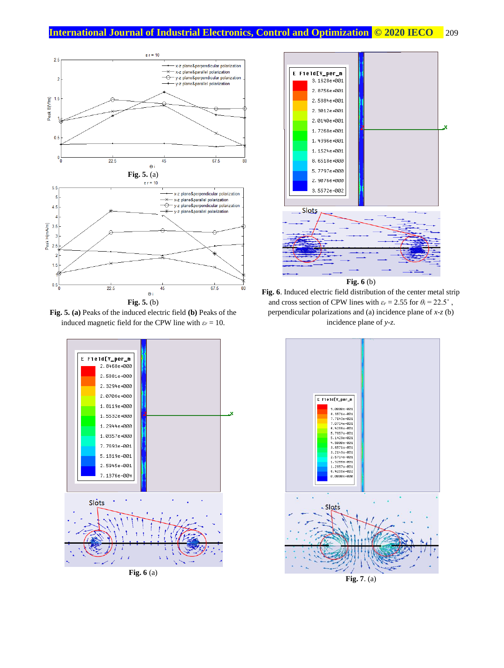

**Fig. 5. (a)** Peaks of the induced electric field **(b)** Peaks of the induced magnetic field for the CPW line with  $\varepsilon_r = 10$ .



**Fig. 6** (a)



**Fig. 6**. Induced electric field distribution of the center metal strip and cross section of CPW lines with  $\varepsilon_r = 2.55$  for  $\theta_i = 22.5^\circ$ , perpendicular polarizations and (a) incidence plane of *x-z* (b) incidence plane of *y-z*.



**Fig. 7**. (a)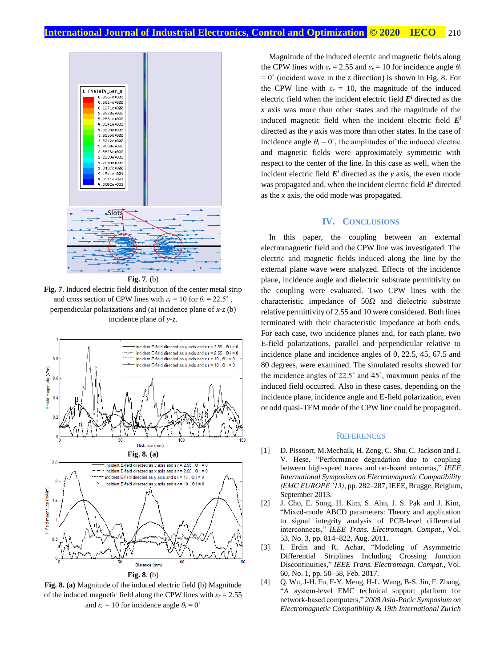

**Fig. 7**. Induced electric field distribution of the center metal strip and cross section of CPW lines with  $\varepsilon_r = 10$  for  $\theta_i = 22.5^\circ$ , perpendicular polarizations and (a) incidence plane of *x-z* (b) incidence plane of *y-z*.



**Fig. 8. (a)** Magnitude of the induced electric field (b) Magnitude of the induced magnetic field along the CPW lines with  $\varepsilon_r = 2.55$ and  $\varepsilon_r = 10$  for incidence angle  $\theta_i = 0^\circ$ 

Magnitude of the induced electric and magnetic fields along the CPW lines with  $\varepsilon_r = 2.55$  and  $\varepsilon_r = 10$  for incidence angle  $\theta_i$  $= 0^{\circ}$  (incident wave in the *z* direction) is shown in Fig. 8. For the CPW line with  $\varepsilon_r = 10$ , the magnitude of the induced electric field when the incident electric field  $E<sup>i</sup>$  directed as the *x* axis was more than other states and the magnitude of the induced magnetic field when the incident electric field *E i* directed as the *y* axis was more than other states. In the case of incidence angle  $\theta_i = 0^\circ$ , the amplitudes of the induced electric and magnetic fields were approximately symmetric with respect to the center of the line. In this case as well, when the incident electric field  $E^i$  directed as the *y* axis, the even mode was propagated and, when the incident electric field *E <sup>i</sup>* directed as the *x* axis, the odd mode was propagated.

### **IV. CONCLUSIONS**

In this paper, the coupling between an external electromagnetic field and the CPW line was investigated. The electric and magnetic fields induced along the line by the external plane wave were analyzed. Effects of the incidence plane, incidence angle and dielectric substrate permittivity on the coupling were evaluated. Two CPW lines with the characteristic impedance of  $50\Omega$  and dielectric substrate relative permittivity of 2.55 and 10 were considered. Both lines terminated with their characteristic impedance at both ends. For each case, two incidence planes and, for each plane, two E-field polarizations, parallel and perpendicular relative to incidence plane and incidence angles of 0, 22.5, 45, 67.5 and 80 degrees, were examined. The simulated results showed for the incidence angles of 22.5˚ and 45˚, maximum peaks of the induced field occurred. Also in these cases, depending on the incidence plane, incidence angle and E-field polarization, even or odd quasi-TEM mode of the CPW line could be propagated.

#### **REFERENCES**

- [1] D. Pissoort, M.Mechaik, H. Zeng, C. Shu, C. Jackson and J. V. Hese, "Performance degradation due to coupling between high-speed traces and on-board antennas," *IEEE International Symposium on Electromagnetic Compatibility (EMC EUROPE '13)*, pp. 282–287, IEEE, Brugge, Belgium, September 2013.
- [2] J. Cho, E. Song, H. Kim, S. Ahn, J. S. Pak and J. Kim, "Mixed-mode ABCD parameters: Theory and application to signal integrity analysis of PCB-level differential interconnects," *IEEE Trans. Electromagn. Compat.*, Vol. 53, No. 3, pp. 814–822, Aug. 2011.
- [3] I. Erdin and R. Achar, "Modeling of Asymmetric Differential Striplines Including Crossing Junction Discontinuities," *IEEE Trans. Electromagn. Compat.*, Vol. 60, No. 1, pp. 50–58, Feb. 2017.
- [4] Q. Wu, J-H. Fu, F-Y. Meng, H-L. Wang, B-S. Jin, F. Zhang, "A system-level EMC technical support platform for network-based computers," *2008 Asia-Pacic Symposium on Electromagnetic Compatibility* & *19th International Zurich*